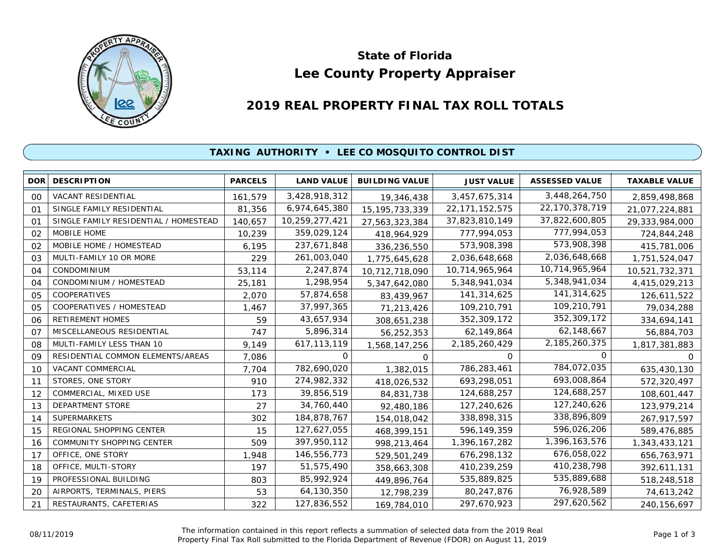

# **Lee County Property Appraiser State of Florida**

# **2019 REAL PROPERTY FINAL TAX ROLL TOTALS**

## **TAXING AUTHORITY • LEE CO MOSQUITO CONTROL DIST**

| <b>DOR</b>     | <b>DESCRIPTION</b>                    | <b>PARCELS</b> | <b>LAND VALUE</b> | <b>BUILDING VALUE</b> | <b>JUST VALUE</b> | <b>ASSESSED VALUE</b> | <b>TAXABLE VALUE</b> |
|----------------|---------------------------------------|----------------|-------------------|-----------------------|-------------------|-----------------------|----------------------|
| 00             | VACANT RESIDENTIAL                    | 161,579        | 3,428,918,312     | 19,346,438            | 3,457,675,314     | 3,448,264,750         | 2,859,498,868        |
| O <sub>1</sub> | SINGLE FAMILY RESIDENTIAL             | 81,356         | 6,974,645,380     | 15, 195, 733, 339     | 22, 171, 152, 575 | 22,170,378,719        | 21,077,224,881       |
| 01             | SINGLE FAMILY RESIDENTIAL / HOMESTEAD | 140,657        | 10,259,277,421    | 27,563,323,384        | 37,823,810,149    | 37,822,600,805        | 29,333,984,000       |
| 02             | MOBILE HOME                           | 10,239         | 359,029,124       | 418,964,929           | 777,994,053       | 777,994,053           | 724,844,248          |
| 02             | MOBILE HOME / HOMESTEAD               | 6,195          | 237,671,848       | 336,236,550           | 573,908,398       | 573,908,398           | 415,781,006          |
| 03             | MULTI-FAMILY 10 OR MORE               | 229            | 261,003,040       | 1,775,645,628         | 2,036,648,668     | 2,036,648,668         | 1,751,524,047        |
| 04             | CONDOMINIUM                           | 53,114         | 2,247,874         | 10,712,718,090        | 10,714,965,964    | 10,714,965,964        | 10,521,732,371       |
| 04             | CONDOMINIUM / HOMESTEAD               | 25,181         | 1,298,954         | 5,347,642,080         | 5,348,941,034     | 5,348,941,034         | 4,415,029,213        |
| 05             | COOPERATIVES                          | 2,070          | 57,874,658        | 83,439,967            | 141,314,625       | 141,314,625           | 126,611,522          |
| 05             | COOPERATIVES / HOMESTEAD              | 1,467          | 37,997,365        | 71,213,426            | 109,210,791       | 109,210,791           | 79,034,288           |
| 06             | RETIREMENT HOMES                      | 59             | 43,657,934        | 308,651,238           | 352,309,172       | 352,309,172           | 334,694,141          |
| O <sub>7</sub> | MISCELLANEOUS RESIDENTIAL             | 747            | 5,896,314         | 56,252,353            | 62,149,864        | 62,148,667            | 56,884,703           |
| 08             | MULTI-FAMILY LESS THAN 10             | 9,149          | 617, 113, 119     | 1,568,147,256         | 2,185,260,429     | 2,185,260,375         | 1,817,381,883        |
| 09             | RESIDENTIAL COMMON ELEMENTS/AREAS     | 7,086          | 0                 | $\Omega$              | $\Omega$          | 0                     | 0                    |
| 10             | VACANT COMMERCIAL                     | 7,704          | 782,690,020       | 1,382,015             | 786,283,461       | 784,072,035           | 635,430,130          |
| 11             | STORES, ONE STORY                     | 910            | 274,982,332       | 418,026,532           | 693,298,051       | 693,008,864           | 572,320,497          |
| 12             | COMMERCIAL, MIXED USE                 | 173            | 39,856,519        | 84,831,738            | 124,688,257       | 124,688,257           | 108,601,447          |
| 13             | DEPARTMENT STORE                      | 27             | 34,760,440        | 92,480,186            | 127,240,626       | 127,240,626           | 123,979,214          |
| 14             | <b>SUPERMARKETS</b>                   | 302            | 184,878,767       | 154,018,042           | 338,898,315       | 338,896,809           | 267,917,597          |
| 15             | REGIONAL SHOPPING CENTER              | 15             | 127,627,055       | 468,399,151           | 596,149,359       | 596,026,206           | 589,476,885          |
| 16             | COMMUNITY SHOPPING CENTER             | 509            | 397,950,112       | 998,213,464           | 1,396,167,282     | 1,396,163,576         | 1,343,433,121        |
| 17             | OFFICE, ONE STORY                     | 1,948          | 146,556,773       | 529,501,249           | 676,298,132       | 676,058,022           | 656,763,971          |
| 18             | OFFICE, MULTI-STORY                   | 197            | 51,575,490        | 358,663,308           | 410,239,259       | 410,238,798           | 392,611,131          |
| 19             | PROFESSIONAL BUILDING                 | 803            | 85,992,924        | 449,896,764           | 535,889,825       | 535,889,688           | 518,248,518          |
| 20             | AIRPORTS, TERMINALS, PIERS            | 53             | 64,130,350        | 12,798,239            | 80,247,876        | 76,928,589            | 74,613,242           |
| 21             | RESTAURANTS, CAFETERIAS               | 322            | 127,836,552       | 169,784,010           | 297,670,923       | 297,620,562           | 240, 156, 697        |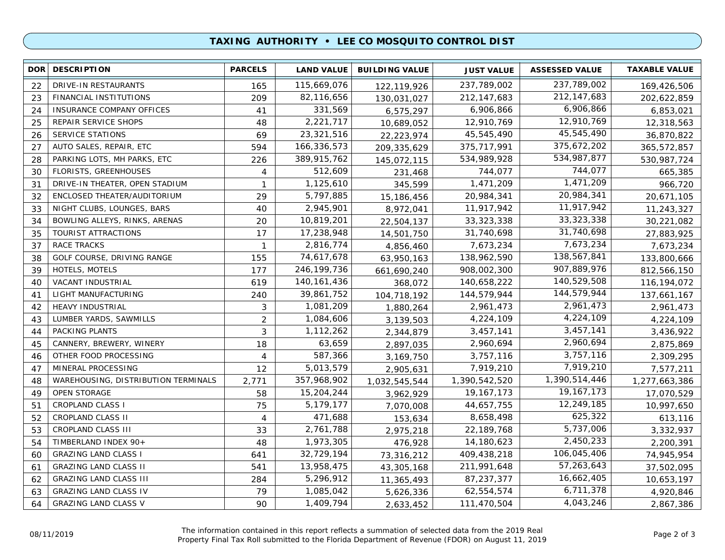### **TAXING AUTHORITY • LEE CO MOSQUITO CONTROL DIST**

| <b>DOR</b> | <b>DESCRIPTION</b>                  | <b>PARCELS</b> | <b>LAND VALUE</b> | <b>BUILDING VALUE</b> | <b>JUST VALUE</b> | <b>ASSESSED VALUE</b> | <b>TAXABLE VALUE</b> |
|------------|-------------------------------------|----------------|-------------------|-----------------------|-------------------|-----------------------|----------------------|
| 22         | DRIVE-IN RESTAURANTS                | 165            | 115,669,076       | 122,119,926           | 237,789,002       | 237,789,002           | 169,426,506          |
| 23         | FINANCIAL INSTITUTIONS              | 209            | 82,116,656        | 130,031,027           | 212, 147, 683     | 212, 147, 683         | 202,622,859          |
| 24         | INSURANCE COMPANY OFFICES           | 41             | 331,569           | 6,575,297             | 6,906,866         | 6,906,866             | 6,853,021            |
| 25         | REPAIR SERVICE SHOPS                | 48             | 2,221,717         | 10,689,052            | 12,910,769        | 12,910,769            | 12,318,563           |
| 26         | <b>SERVICE STATIONS</b>             | 69             | 23,321,516        | 22,223,974            | 45,545,490        | 45,545,490            | 36,870,822           |
| 27         | AUTO SALES, REPAIR, ETC             | 594            | 166,336,573       | 209, 335, 629         | 375,717,991       | 375,672,202           | 365,572,857          |
| 28         | PARKING LOTS, MH PARKS, ETC         | 226            | 389,915,762       | 145,072,115           | 534,989,928       | 534,987,877           | 530,987,724          |
| 30         | FLORISTS, GREENHOUSES               | 4              | 512,609           | 231,468               | 744,077           | 744,077               | 665,385              |
| 31         | DRIVE-IN THEATER, OPEN STADIUM      | $\mathbf{1}$   | 1,125,610         | 345,599               | 1,471,209         | 1,471,209             | 966,720              |
| 32         | ENCLOSED THEATER/AUDITORIUM         | 29             | 5,797,885         | 15,186,456            | 20,984,341        | 20,984,341            | 20,671,105           |
| 33         | NIGHT CLUBS, LOUNGES, BARS          | 40             | 2,945,901         | 8,972,041             | 11,917,942        | 11,917,942            | 11,243,327           |
| 34         | BOWLING ALLEYS, RINKS, ARENAS       | 20             | 10,819,201        | 22,504,137            | 33, 323, 338      | 33, 323, 338          | 30,221,082           |
| 35         | TOURIST ATTRACTIONS                 | 17             | 17,238,948        | 14,501,750            | 31,740,698        | 31,740,698            | 27,883,925           |
| 37         | <b>RACE TRACKS</b>                  | $\mathbf{1}$   | 2,816,774         | 4,856,460             | 7,673,234         | 7,673,234             | 7,673,234            |
| 38         | GOLF COURSE, DRIVING RANGE          | 155            | 74,617,678        | 63,950,163            | 138,962,590       | 138,567,841           | 133,800,666          |
| 39         | HOTELS, MOTELS                      | 177            | 246, 199, 736     | 661,690,240           | 908,002,300       | 907,889,976           | 812,566,150          |
| 40         | VACANT INDUSTRIAL                   | 619            | 140, 161, 436     | 368,072               | 140,658,222       | 140,529,508           | 116, 194, 072        |
| 41         | LIGHT MANUFACTURING                 | 240            | 39,861,752        | 104,718,192           | 144,579,944       | 144,579,944           | 137,661,167          |
| 42         | <b>HEAVY INDUSTRIAL</b>             | 3              | 1,081,209         | 1,880,264             | 2,961,473         | 2,961,473             | 2,961,473            |
| 43         | LUMBER YARDS, SAWMILLS              | $\overline{2}$ | 1,084,606         | 3,139,503             | 4,224,109         | 4,224,109             | 4,224,109            |
| 44         | PACKING PLANTS                      | 3              | 1,112,262         | 2,344,879             | 3,457,141         | 3,457,141             | 3,436,922            |
| 45         | CANNERY, BREWERY, WINERY            | 18             | 63,659            | 2,897,035             | 2,960,694         | 2,960,694             | 2,875,869            |
| 46         | OTHER FOOD PROCESSING               | 4              | 587,366           | 3,169,750             | 3,757,116         | 3,757,116             | 2,309,295            |
| 47         | MINERAL PROCESSING                  | 12             | 5,013,579         | 2,905,631             | 7,919,210         | 7,919,210             | 7,577,211            |
| 48         | WAREHOUSING, DISTRIBUTION TERMINALS | 2,771          | 357,968,902       | 1,032,545,544         | 1,390,542,520     | 1,390,514,446         | 1,277,663,386        |
| 49         | <b>OPEN STORAGE</b>                 | 58             | 15,204,244        | 3,962,929             | 19, 167, 173      | 19, 167, 173          | 17,070,529           |
| 51         | <b>CROPLAND CLASS I</b>             | 75             | 5,179,177         | 7,070,008             | 44,657,755        | 12,249,185            | 10,997,650           |
| 52         | CROPLAND CLASS II                   | $\overline{4}$ | 471,688           | 153,634               | 8,658,498         | 625,322               | 613,116              |
| 53         | CROPLAND CLASS III                  | 33             | 2,761,788         | 2,975,218             | 22,189,768        | 5,737,006             | 3,332,937            |
| 54         | TIMBERLAND INDEX 90+                | 48             | 1,973,305         | 476,928               | 14,180,623        | 2,450,233             | 2,200,391            |
| 60         | <b>GRAZING LAND CLASS I</b>         | 641            | 32,729,194        | 73,316,212            | 409,438,218       | 106,045,406           | 74,945,954           |
| 61         | <b>GRAZING LAND CLASS II</b>        | 541            | 13,958,475        | 43,305,168            | 211,991,648       | 57,263,643            | 37,502,095           |
| 62         | <b>GRAZING LAND CLASS III</b>       | 284            | 5,296,912         | 11,365,493            | 87,237,377        | 16,662,405            | 10,653,197           |
| 63         | <b>GRAZING LAND CLASS IV</b>        | 79             | 1,085,042         | 5,626,336             | 62,554,574        | 6,711,378             | 4,920,846            |
| 64         | <b>GRAZING LAND CLASS V</b>         | 90             | 1,409,794         | 2,633,452             | 111,470,504       | 4,043,246             | 2,867,386            |